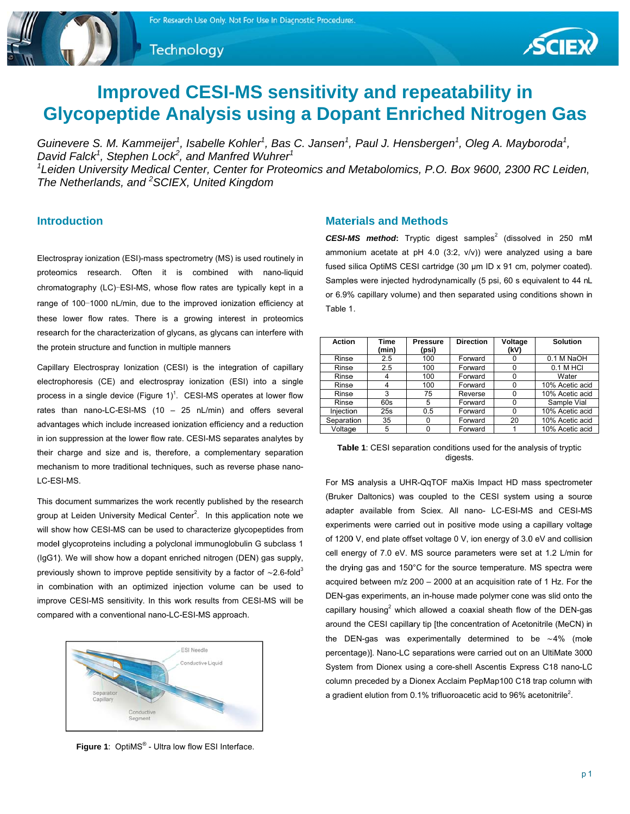Technology



# **Improved CESI-MS sensitivity and repeatability in Glycopeptide Analysis using a Dopant Enriched Nitrogen Gas**

Guinevere S. M. Kammeijer<sup>1</sup>, Isabelle Kohler<sup>1</sup>, Bas C. Jansen<sup>1</sup>, Paul J. Hensbergen<sup>1</sup>, Oleg A. Mayboroda<sup>1</sup>, David Falck<sup>1</sup>, Stephen Lock<sup>2</sup>, and Manfred Wuhrer<sup>1</sup>  ${}^{1}$ Leiden University Medical Center, Center for Proteomics and Metabolomics, P.O. Box 9600, 2300 RC Leiden, The Netherlands, and <sup>2</sup>SCIEX, United Kingdom

## **Introduction**

Electrospray ionization (ESI)-mass spectrometry (MS) is used routinely in proteomics research. Often it is combined with nano-liquid chromatography (LC)-ESI-MS, whose flow rates are typically kept in a range of 100-1000 nL/min, due to the improved ionization efficiency at these lower flow rates. There is a growing interest in proteomics research for the characterization of glycans, as glycans can interfere with the protein structure and function in multiple manners

Capillary Electrospray Ionization (CESI) is the integration of capillary electrophoresis (CE) and electrospray ionization (ESI) into a single process in a single device (Figure 1)<sup>1</sup>. CESI-MS operates at lower flow rates than nano-LC-ESI-MS (10 - 25 nL/min) and offers several advantages which include increased ionization efficiency and a reduction in ion suppression at the lower flow rate. CESI-MS separates analytes by their charge and size and is, therefore, a complementary separation mechanism to more traditional techniques, such as reverse phase nano-LC-ESI-MS.

This document summarizes the work recently published by the research group at Leiden University Medical Center<sup>2</sup>. In this application note we will show how CESI-MS can be used to characterize glycopeptides from model glycoproteins including a polyclonal immunoglobulin G subclass 1 (IgG1). We will show how a dopant enriched nitrogen (DEN) gas supply, previously shown to improve peptide sensitivity by a factor of  $\sim$ 2.6-fold<sup>3</sup> in combination with an optimized injection volume can be used to improve CESI-MS sensitivity. In this work results from CESI-MS will be compared with a conventional nano-LC-ESI-MS approach.



Figure 1: OptiMS® - Ultra low flow ESI Interface.

## **Materials and Methods**

CESI-MS method: Tryptic digest samples<sup>2</sup> (dissolved in 250 mM ammonium acetate at pH 4.0 (3:2, v/v)) were analyzed using a bare fused silica OptiMS CESI cartridge (30 µm ID x 91 cm, polymer coated). Samples were injected hydrodynamically (5 psi, 60 s equivalent to 44 nL or 6.9% capillary volume) and then separated using conditions shown in Table 1.

| Action     | Time  | <b>Pressure</b> | <b>Direction</b> | Voltage  | <b>Solution</b> |
|------------|-------|-----------------|------------------|----------|-----------------|
|            | (min) | (psi)           |                  | (kV)     |                 |
| Rinse      | 2.5   | 100             | Forward          |          | 0.1 M NaOH      |
| Rinse      | 2.5   | 100             | Forward          | 0        | 0.1 M HCI       |
| Rinse      | 4     | 100             | Forward          | 0        | Water           |
| Rinse      | 4     | 100             | Forward          | 0        | 10% Acetic acid |
| Rinse      | 3     | 75              | Reverse          | $\Omega$ | 10% Acetic acid |
| Rinse      | 60s   | 5               | Forward          | 0        | Sample Vial     |
| Iniection  | 25s   | 0.5             | Forward          | 0        | 10% Acetic acid |
| Separation | 35    |                 | Forward          | 20       | 10% Acetic acid |
| Voltage    | 5     |                 | Forward          |          | 10% Acetic acid |

Table 1: CESI separation conditions used for the analysis of tryptic digests.

For MS analysis a UHR-QqTOF maXis Impact HD mass spectrometer (Bruker Daltonics) was coupled to the CESI system using a source adapter available from Sciex. All nano- LC-ESI-MS and CESI-MS experiments were carried out in positive mode using a capillary voltage of 1200 V, end plate offset voltage 0 V, ion energy of 3.0 eV and collision cell energy of 7.0 eV. MS source parameters were set at 1.2 L/min for the drying gas and 150°C for the source temperature. MS spectra were acquired between m/z 200 - 2000 at an acquisition rate of 1 Hz. For the DEN-gas experiments, an in-house made polymer cone was slid onto the capillary housing<sup>2</sup> which allowed a coaxial sheath flow of the DEN-gas around the CESI capillary tip [the concentration of Acetonitrile (MeCN) in the DEN-gas was experimentally determined to be  $~14\%$  (mole percentage)]. Nano-LC separations were carried out on an UltiMate 3000 System from Dionex using a core-shell Ascentis Express C18 nano-LC column preceded by a Dionex Acclaim PepMap100 C18 trap column with a gradient elution from 0.1% trifluoroacetic acid to 96% acetonitrile<sup>2</sup>.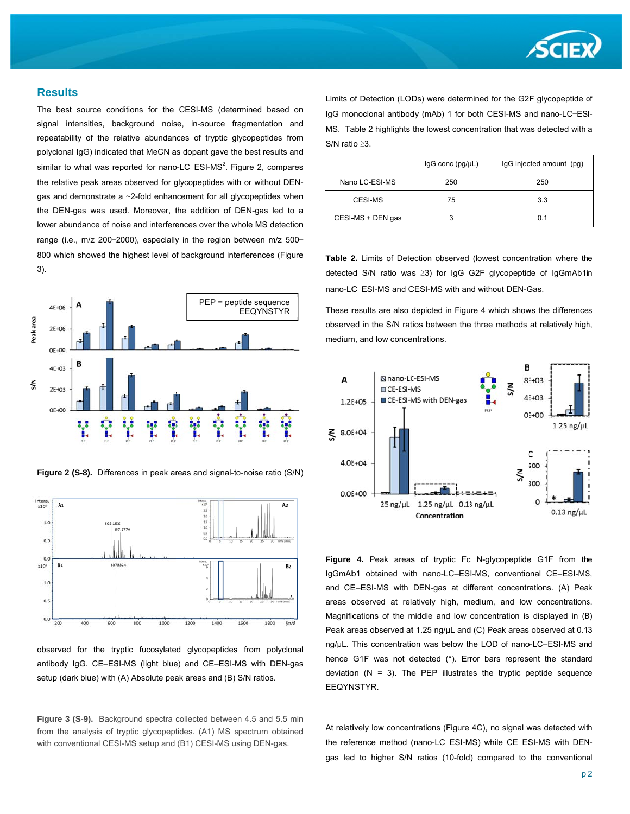

#### **Results**

The best source conditions for the CESI-MS (determined based on signal intensities, background noise, in-source fragmentation and repeatability of the relative abundances of tryptic glycopeptides from polyclonal IgG) indicated that MeCN as dopant gave the best results and similar to what was reported for nano-LC-ESI-MS<sup>2</sup>. Figure 2, compares the relative peak areas observed for glycopeptides with or without DENgas and demonstrate a ~2-fold enhancement for all glycopeptides when the DEN-gas was used. Moreover, the addition of DEN-gas led to a lower abundance of noise and interferences over the whole MS detection range (i.e., m/z 200-2000), especially in the region between m/z 500-800 which showed the highest level of background interferences (Figure  $3)$ .



Figure 2 (S-8). Differences in peak areas and signal-to-noise ratio (S/N)



observed for the tryptic fucosylated glycopeptides from polyclonal antibody IgG. CE-ESI-MS (light blue) and CE-ESI-MS with DEN-gas setup (dark blue) with (A) Absolute peak areas and (B) S/N ratios.

Figure 3 (S-9). Background spectra collected between 4.5 and 5.5 min from the analysis of tryptic glycopeptides. (A1) MS spectrum obtained with conventional CESI-MS setup and (B1) CESI-MS using DEN-gas.

Limits of Detection (LODs) were determined for the G2F glycopeptide of IgG monoclonal antibody (mAb) 1 for both CESI-MS and nano-LC-ESI-MS. Table 2 highlights the lowest concentration that was detected with a S/N ratio ≥3.

|                   | $lgG$ conc $(pg/\mu L)$ | IgG injected amount (pg) |
|-------------------|-------------------------|--------------------------|
| Nano LC-ESI-MS    | 250                     | 250                      |
| CESI-MS           | 75                      | 3.3                      |
| CESI-MS + DEN gas |                         | 0.1                      |

Table 2. Limits of Detection observed (lowest concentration where the detected S/N ratio was ≥3) for IqG G2F qlycopeptide of IqGmAb1in nano-LC-ESI-MS and CESI-MS with and without DEN-Gas.

These results are also depicted in Figure 4 which shows the differences observed in the S/N ratios between the three methods at relatively high, medium, and low concentrations.



Figure 4. Peak areas of tryptic Fc N-glycopeptide G1F from the IgGmAb1 obtained with nano-LC-ESI-MS, conventional CE-ESI-MS, and CE-ESI-MS with DEN-gas at different concentrations. (A) Peak areas observed at relatively high, medium, and low concentrations. Magnifications of the middle and low concentration is displayed in (B) Peak areas observed at 1.25 ng/uL and (C) Peak areas observed at 0.13 ng/µL. This concentration was below the LOD of nano-LC-ESI-MS and hence G1F was not detected (\*). Error bars represent the standard deviation ( $N = 3$ ). The PEP illustrates the tryptic peptide sequence EEQYNSTYR.

At relatively low concentrations (Figure 4C), no signal was detected with the reference method (nano-LC-ESI-MS) while CE-ESI-MS with DENgas led to higher S/N ratios (10-fold) compared to the conventional